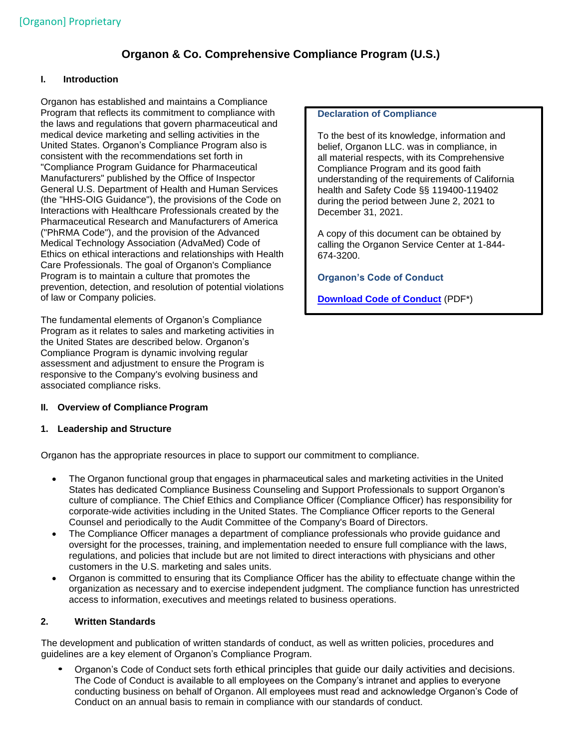# **Organon & Co. Comprehensive Compliance Program (U.S.)**

# **I. Introduction**

Organon has established and maintains a Compliance Program that reflects its commitment to compliance with the laws and regulations that govern pharmaceutical and medical device marketing and selling activities in the United States. Organon's Compliance Program also is consistent with the recommendations set forth in "Compliance Program Guidance for Pharmaceutical Manufacturers" published by the Office of Inspector General U.S. Department of Health and Human Services (the "HHS-OIG Guidance"), the provisions of the Code on Interactions with Healthcare Professionals created by the Pharmaceutical Research and Manufacturers of America ("PhRMA Code"), and the provision of the Advanced Medical Technology Association (AdvaMed) Code of Ethics on ethical interactions and relationships with Health Care Professionals. The goal of Organon's Compliance Program is to maintain a culture that promotes the prevention, detection, and resolution of potential violations of law or Company policies.

The fundamental elements of Organon's Compliance Program as it relates to sales and marketing activities in the United States are described below. Organon's Compliance Program is dynamic involving regular assessment and adjustment to ensure the Program is responsive to the Company's evolving business and associated compliance risks.

### **II. Overview of Compliance Program**

### **1. Leadership and Structure**

Organon has the appropriate resources in place to support our commitment to compliance.

- The Organon functional group that engages in pharmaceutical sales and marketing activities in the United States has dedicated Compliance Business Counseling and Support Professionals to support Organon's culture of compliance. The Chief Ethics and Compliance Officer (Compliance Officer) has responsibility for corporate-wide activities including in the United States. The Compliance Officer reports to the General Counsel and periodically to the Audit Committee of the Company's Board of Directors.
- The Compliance Officer manages a department of compliance professionals who provide guidance and oversight for the processes, training, and implementation needed to ensure full compliance with the laws, regulations, and policies that include but are not limited to direct interactions with physicians and other customers in the U.S. marketing and sales units.
- Organon is committed to ensuring that its Compliance Officer has the ability to effectuate change within the organization as necessary and to exercise independent judgment. The compliance function has unrestricted access to information, executives and meetings related to business operations.

# **2. Written Standards**

The development and publication of written standards of conduct, as well as written policies, procedures and guidelines are a key element of Organon's Compliance Program.

• Organon's Code of Conduct sets forth ethical principles that guide our daily activities and decisions. The Code of Conduct is available to all employees on the Company's intranet and applies to everyone conducting business on behalf of Organon. All employees must read and acknowledge Organon's Code of Conduct on an annual basis to remain in compliance with our standards of conduct.

#### **Declaration of Compliance**

To the best of its knowledge, information and belief, Organon LLC. was in compliance, in all material respects, with its Comprehensive Compliance Program and its good faith understanding of the requirements of California health and Safety Code §§ 119400-119402 during the period between June 2, 2021 to December 31, 2021.

A copy of this document can be obtained by calling the Organon Service Center at 1-844- 674-3200.

**Organon's Code of Conduct**

**[Download Code of Conduct](https://www.organon.com/wp-content/uploads/sites/2/2021/05/Organon-Code-of-Conduct-External-English.pdf)** (PDF\*)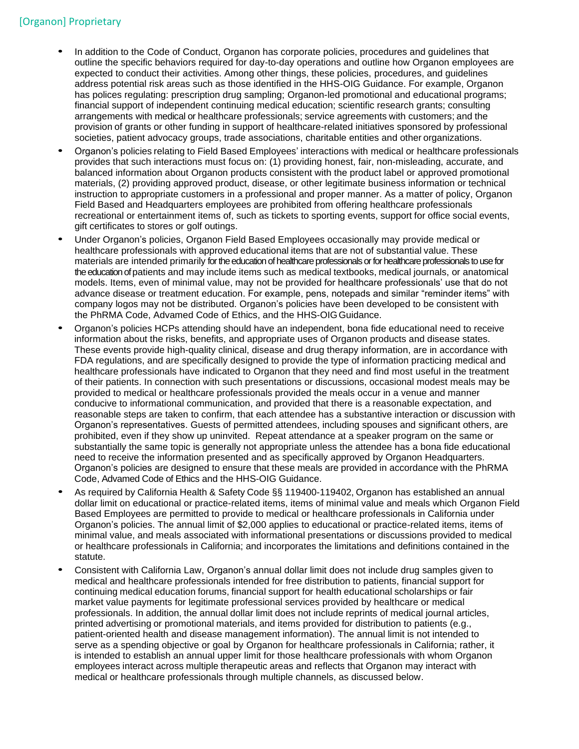- In addition to the Code of Conduct, Organon has corporate policies, procedures and guidelines that outline the specific behaviors required for day-to-day operations and outline how Organon employees are expected to conduct their activities. Among other things, these policies, procedures, and guidelines address potential risk areas such as those identified in the HHS-OIG Guidance. For example, Organon has polices regulating: prescription drug sampling; Organon-led promotional and educational programs; financial support of independent continuing medical education; scientific research grants; consulting arrangements with medical or healthcare professionals; service agreements with customers; and the provision of grants or other funding in support of healthcare-related initiatives sponsored by professional societies, patient advocacy groups, trade associations, charitable entities and other organizations.
- Organon's policies relating to Field Based Employees' interactions with medical or healthcare professionals provides that such interactions must focus on: (1) providing honest, fair, non-misleading, accurate, and balanced information about Organon products consistent with the product label or approved promotional materials, (2) providing approved product, disease, or other legitimate business information or technical instruction to appropriate customers in a professional and proper manner. As a matter of policy, Organon Field Based and Headquarters employees are prohibited from offering healthcare professionals recreational or entertainment items of, such as tickets to sporting events, support for office social events, gift certificates to stores or golf outings.
- Under Organon's policies, Organon Field Based Employees occasionally may provide medical or healthcare professionals with approved educational items that are not of substantial value. These materials are intended primarily for the education of healthcare professionals or for healthcare professionals to use for the education of patients and may include items such as medical textbooks, medical journals, or anatomical models. Items, even of minimal value, may not be provided for healthcare professionals' use that do not advance disease or treatment education. For example, pens, notepads and similar "reminder items" with company logos may not be distributed. Organon's policies have been developed to be consistent with the PhRMA Code, Advamed Code of Ethics, and the HHS-OIGGuidance.
- Organon's policies HCPs attending should have an independent, bona fide educational need to receive information about the risks, benefits, and appropriate uses of Organon products and disease states. These events provide high-quality clinical, disease and drug therapy information, are in accordance with FDA regulations, and are specifically designed to provide the type of information practicing medical and healthcare professionals have indicated to Organon that they need and find most useful in the treatment of their patients. In connection with such presentations or discussions, occasional modest meals may be provided to medical or healthcare professionals provided the meals occur in a venue and manner conducive to informational communication, and provided that there is a reasonable expectation, and reasonable steps are taken to confirm, that each attendee has a substantive interaction or discussion with Organon's representatives. Guests of permitted attendees, including spouses and significant others, are prohibited, even if they show up uninvited. Repeat attendance at a speaker program on the same or substantially the same topic is generally not appropriate unless the attendee has a bona fide educational need to receive the information presented and as specifically approved by Organon Headquarters. Organon's policies are designed to ensure that these meals are provided in accordance with the PhRMA Code, Advamed Code of Ethics and the HHS-OIG Guidance.
- As required by California Health & Safety Code §§ 119400-119402, Organon has established an annual dollar limit on educational or practice-related items, items of minimal value and meals which Organon Field Based Employees are permitted to provide to medical or healthcare professionals in California under Organon's policies. The annual limit of \$2,000 applies to educational or practice-related items, items of minimal value, and meals associated with informational presentations or discussions provided to medical or healthcare professionals in California; and incorporates the limitations and definitions contained in the statute.
- Consistent with California Law, Organon's annual dollar limit does not include drug samples given to medical and healthcare professionals intended for free distribution to patients, financial support for continuing medical education forums, financial support for health educational scholarships or fair market value payments for legitimate professional services provided by healthcare or medical professionals. In addition, the annual dollar limit does not include reprints of medical journal articles, printed advertising or promotional materials, and items provided for distribution to patients (e.g., patient-oriented health and disease management information). The annual limit is not intended to serve as a spending objective or goal by Organon for healthcare professionals in California; rather, it is intended to establish an annual upper limit for those healthcare professionals with whom Organon employees interact across multiple therapeutic areas and reflects that Organon may interact with medical or healthcare professionals through multiple channels, as discussed below.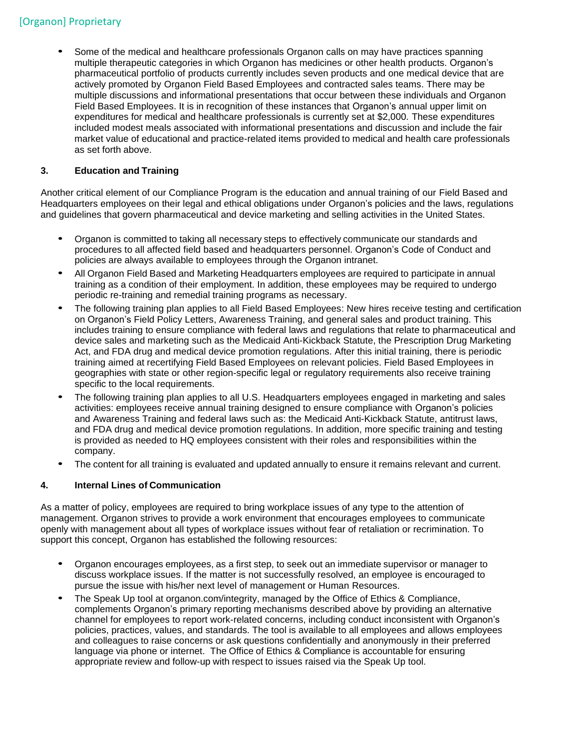# [Organon] Proprietary

• Some of the medical and healthcare professionals Organon calls on may have practices spanning multiple therapeutic categories in which Organon has medicines or other health products. Organon's pharmaceutical portfolio of products currently includes seven products and one medical device that are actively promoted by Organon Field Based Employees and contracted sales teams. There may be multiple discussions and informational presentations that occur between these individuals and Organon Field Based Employees. It is in recognition of these instances that Organon's annual upper limit on expenditures for medical and healthcare professionals is currently set at \$2,000. These expenditures included modest meals associated with informational presentations and discussion and include the fair market value of educational and practice-related items provided to medical and health care professionals as set forth above.

# **3. Education and Training**

Another critical element of our Compliance Program is the education and annual training of our Field Based and Headquarters employees on their legal and ethical obligations under Organon's policies and the laws, regulations and guidelines that govern pharmaceutical and device marketing and selling activities in the United States.

- Organon is committed to taking all necessary steps to effectively communicate our standards and procedures to all affected field based and headquarters personnel. Organon's Code of Conduct and policies are always available to employees through the Organon intranet.
- All Organon Field Based and Marketing Headquarters employees are required to participate in annual training as a condition of their employment. In addition, these employees may be required to undergo periodic re-training and remedial training programs as necessary.
- The following training plan applies to all Field Based Employees: New hires receive testing and certification on Organon's Field Policy Letters, Awareness Training, and general sales and product training. This includes training to ensure compliance with federal laws and regulations that relate to pharmaceutical and device sales and marketing such as the Medicaid Anti-Kickback Statute, the Prescription Drug Marketing Act, and FDA drug and medical device promotion regulations. After this initial training, there is periodic training aimed at recertifying Field Based Employees on relevant policies. Field Based Employees in geographies with state or other region-specific legal or regulatory requirements also receive training specific to the local requirements.
- The following training plan applies to all U.S. Headquarters employees engaged in marketing and sales activities: employees receive annual training designed to ensure compliance with Organon's policies and Awareness Training and federal laws such as: the Medicaid Anti-Kickback Statute, antitrust laws, and FDA drug and medical device promotion regulations. In addition, more specific training and testing is provided as needed to HQ employees consistent with their roles and responsibilities within the company.
- The content for all training is evaluated and updated annually to ensure it remains relevant and current.

# **4. Internal Lines of Communication**

As a matter of policy, employees are required to bring workplace issues of any type to the attention of management. Organon strives to provide a work environment that encourages employees to communicate openly with management about all types of workplace issues without fear of retaliation or recrimination. To support this concept, Organon has established the following resources:

- Organon encourages employees, as <sup>a</sup> first step, to seek out an immediate supervisor or manager to discuss workplace issues. If the matter is not successfully resolved, an employee is encouraged to pursue the issue with his/her next level of management or Human Resources.
- The Speak Up tool at organon.com/integrity, managed by the Office of Ethics & Compliance, complements Organon's primary reporting mechanisms described above by providing an alternative channel for employees to report work-related concerns, including conduct inconsistent with Organon's policies, practices, values, and standards. The tool is available to all employees and allows employees and colleagues to raise concerns or ask questions confidentially and anonymously in their preferred language via phone or internet. The Office of Ethics & Compliance is accountable for ensuring appropriate review and follow-up with respect to issues raised via the Speak Up tool.